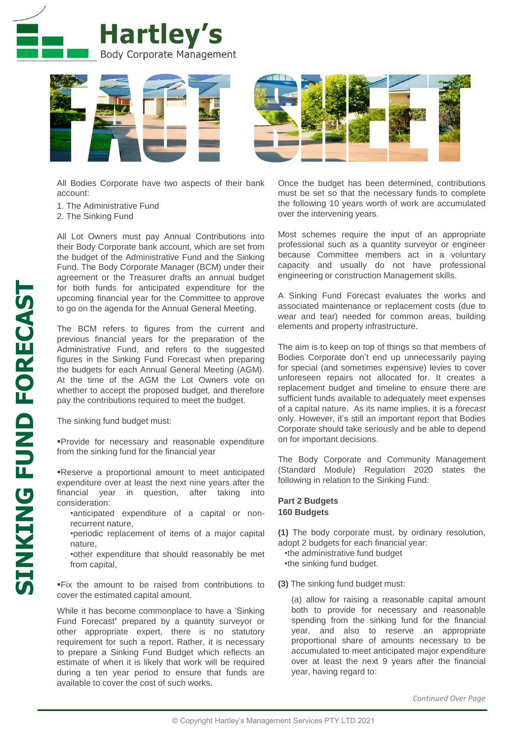



All Bodies Corporate have two aspects of their bank account:

- 1. The Administrative Fund
- 2. The Sinking Fund

All Lot Owners must pay Annual Contributions into their Body Corporate bank account, which are set from the budget of the Administrative Fund and the Sinking Fund. The Body Corporate Manager (BCM) under their agreement or the Treasurer drafts an annual budget for both funds for anticipated expenditure for the upcoming financial year for the Committee to approve to go on the agenda for the Annual General Meeting.

The BCM refers to figures from the current and previous financial years for the preparation of the Administrative Fund, and refers to the suggested figures in the Sinking Fund Forecast when preparing the budgets for each Annual General Meeting (AGM). At the time of the AGM the Lot Owners vote on whether to accept the proposed budget, and therefore pay the contributions required to meet the budget.

The sinking fund budget must:

Provide for necessary and reasonable expenditure from the sinking fund for the financial year

Reserve a proportional amount to meet anticipated expenditure over at least the next nine years after the financial year in question, after taking into consideration:

- •anticipated expenditure of a capital or nonrecurrent nature,
- •periodic replacement of items of a major capital nature,
- •other expenditure that should reasonably be met from capital,

Fix the amount to be raised from contributions to cover the estimated capital amount.

While it has become commonplace to have a 'Sinking Fund Forecast**'** prepared by a quantity surveyor or other appropriate expert, there is no statutory requirement for such a report. Rather, it is necessary to prepare a Sinking Fund Budget which reflects an estimate of when it is likely that work will be required during a ten year period to ensure that funds are available to cover the cost of such works.

Once the budget has been determined, contributions must be set so that the necessary funds to complete the following 10 years worth of work are accumulated over the intervening years.

Most schemes require the input of an appropriate professional such as a quantity surveyor or engineer because Committee members act in a voluntary capacity and usually do not have professional engineering or construction Management skills.

A Sinking Fund Forecast evaluates the works and associated maintenance or replacement costs (due to wear and tear) needed for common areas, building elements and property infrastructure.

The aim is to keep on top of things so that members of Bodies Corporate don't end up unnecessarily paying for special (and sometimes expensive) levies to cover unforeseen repairs not allocated for. It creates a replacement budget and timeline to ensure there are sufficient funds available to adequately meet expenses of a capital nature. As its name implies, it is a *forecast* only. However, it's still an important report that Bodies Corporate should take seriously and be able to depend on for important decisions.

The Body Corporate and Community Management (Standard Module) Regulation 2020 states the following in relation to the Sinking Fund:

## **Part 2 Budgets 160 Budgets**

**(1)** The body corporate must, by ordinary resolution, adopt 2 budgets for each financial year:

•the administrative fund budget

•the sinking fund budget.

**(3)** The sinking fund budget must:

(a) allow for raising a reasonable capital amount both to provide for necessary and reasonable spending from the sinking fund for the financial year, and also to reserve an appropriate proportional share of amounts necessary to be accumulated to meet anticipated major expenditure over at least the next 9 years after the financial year, having regard to: